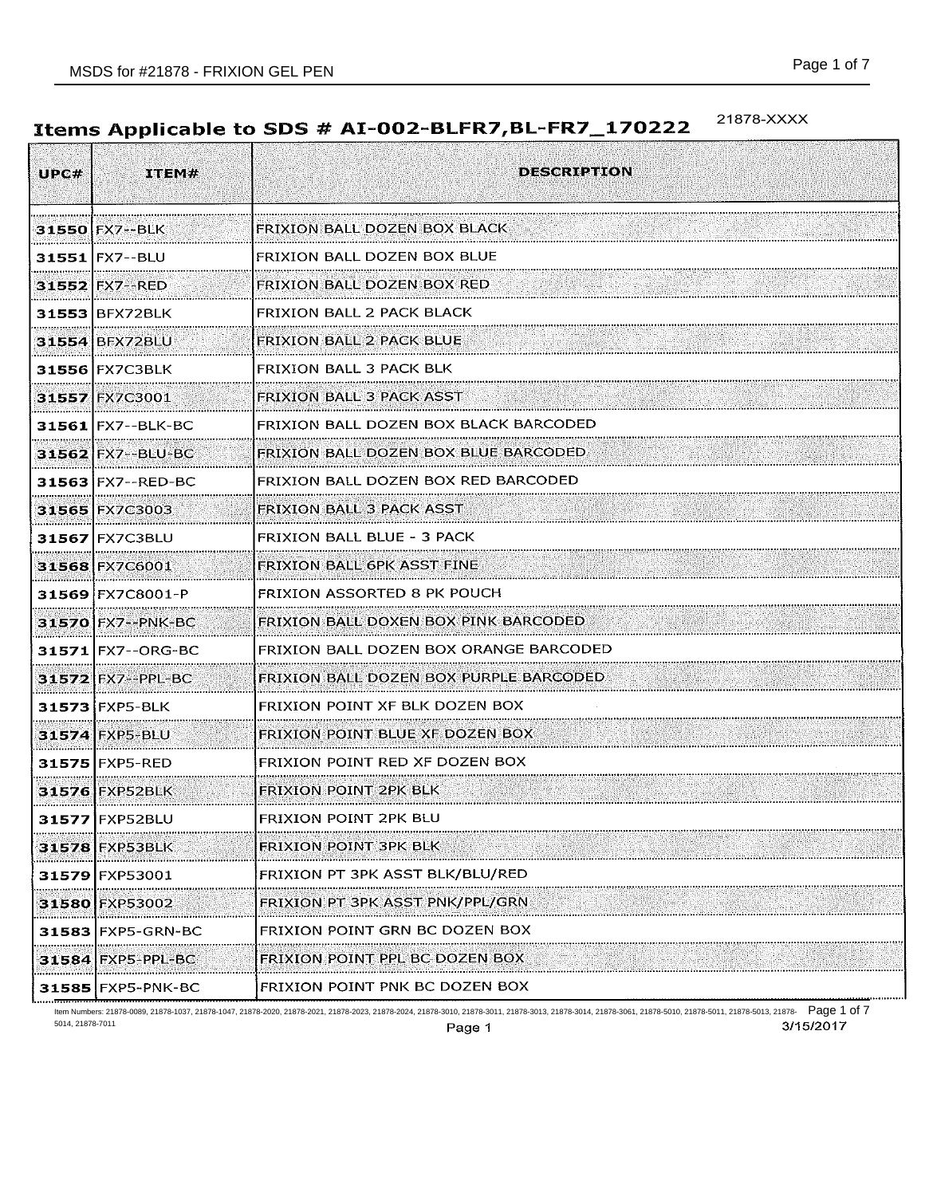#### 21878-XXXX Items Applicable to SDS # AI-002-BLFR7, BL-FR7\_170222

| UPC#  | ITEM#                                               | <b>DESCRIPTION</b>                     |
|-------|-----------------------------------------------------|----------------------------------------|
|       | 31550 FX7 -- BLK                                    | FRIXION BALL DOZEN BOX BLACK           |
|       | 31551 FX7--BLU                                      | FRIXION BALL DOZEN BOX BLUE            |
|       | 31552 FX7 -- RED                                    | <b>FRIXION BALL DOZEN BOX RED</b>      |
|       | 31553 BFX72BLK                                      | FRIXION BALL 2 PACK BLACK              |
|       | 31554 BFX72BLU                                      | <b>FRIXION BALL 2 PACK BLUE</b>        |
|       | 31556 FX7C3BLK                                      | <b>FRIXION BALL 3 PACK BLK</b>         |
|       | 31557 FX7C3001                                      | <b>FRIXION BALL 3 PACK ASST</b>        |
|       | 31561 FX7 -- BLK-BC<br>                             | FRIXION BALL DOZEN BOX BLACK BARCODED  |
|       | <b>31562 FX7--BLU-BC</b>                            | FRIXION BALL DOZEN BOX BLUE BARCODED   |
|       | 31563 FX7 -- RED-BC                                 | FRIXION BALL DOZEN BOX RED BARCODED    |
|       | 31565 FX7C3003                                      | <b>FRIXION BALL 3 PACK ASST</b>        |
|       | 31567 FX7C3BLU                                      | FRIXION BALL BLUE - 3 PACK             |
|       | 31568 FX7C6001                                      | FRIXION BALL GPK ASST FINE             |
|       | 31569 FX7C8001-P                                    | FRIXION ASSORTED 8 PK POUCH            |
|       | 31570 FX7 -- PNK-BC                                 | FRIXION BALL DOXEN BOX PINK BARCODED   |
|       | 31571 FX7--ORG-BC<br>,,,,,,,,,,,,,,,,,,,,,,,,,,,,,, | FRIXION BALL DOZEN BOX ORANGE BARCODED |
|       | 31572 FX7 -- PPL-BC                                 | FRIXION BALL DOZEN BOX PURPLE BARCODED |
|       | 31573 FXP5-BLK                                      | FRIXION POINT XF BLK DOZEN BOX         |
|       | 31574 FXP5-BLU                                      | <b>FRIXION POINT BLUE XF DOZEN BOX</b> |
|       | 31575 FXP5-RED                                      | FRIXION POINT RED XF DOZEN BOX         |
|       | <b>31576 FXP52BLK</b>                               | FRIXION POINT 2PK BLK                  |
|       | 31577 FXP52BLU                                      | FRIXION POINT 2PK BLU                  |
|       | 31578 FXP53BEK                                      | FRIXION POINT 3PK BLK                  |
|       | 31579 FXP53001                                      | FRIXION PT 3PK ASST BLK/BLU/RED        |
| .     | 31580 FXP53002                                      | FRIXION PT 3PK ASST PNK/PPL/GRN        |
|       | 31583 FXP5-GRN-BC                                   | FRIXION POINT GRN BC DOZEN BOX         |
|       | 31584 FXP5-PPL-BC                                   | FRIXION POINT PPL BC DOZEN BOX         |
| 31585 | IFXP5-PNK-BC                                        | FRIXION POINT PNK BC DOZEN BOX         |

ltem Numbers: 21878-0089, 21878-1037, 21878-1047, 21878-2020, 21878-2021, 21878-2023, 21878-3010, 21878-3011, 21878-3013, 21878-5018, 21878-5010, 21878-5011, 21878-5013, 21878-5010, 21878-5011, 21878-5013, 21878-5011, 2187 5014, 21878-7011 Page 1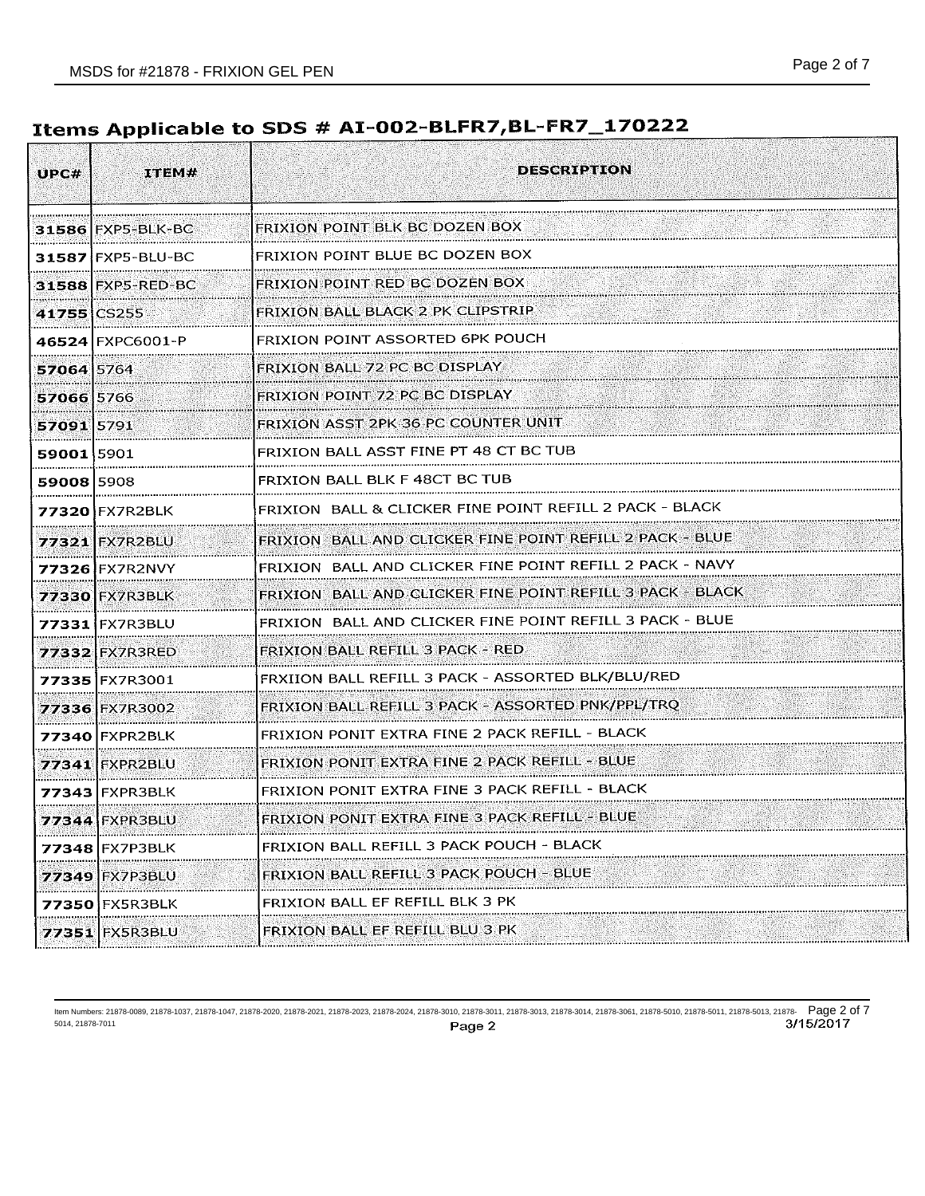# Items Applicable to SDS # AI-002-BLFR7, BL-FR7\_170222

| UPCH        | ITEM#                 | <b>DESCRIPITON</b>                                        |
|-------------|-----------------------|-----------------------------------------------------------|
|             | 31586 FXP5-BLK-BC     | FRIXION POINT BLK BC DOZEN BOX                            |
|             | 31587 FXP5-BLU-BC     | FRIXION POINT BLUE BC DOZEN BOX                           |
|             | 31588 FXP5-RED-BC     | FRIXION POINT RED BC DOZEN BOX                            |
| 41755 CS255 |                       | FRIXION BALL BLACK 2 PK CLIPSTRIP                         |
|             | 46524 FXPC6001-P      | FRIXION POINT ASSORTED 6PK POUCH                          |
| 57064 5764  |                       | FRIXION BALL 72 PC BC DISPLAY                             |
| 57066 5766  |                       | FRIXION POINT 72 PC BC DISPLAY                            |
| 57091 5791  |                       | FRIXION ASST 2PK 36 PC COUNTER UNIT                       |
| 59001 5901  |                       | FRIXION BALL ASST FINE PT 48 CT BC TUB                    |
| 59008 5908  |                       | FRIXION BALL BLK F 48CT BC TUB                            |
|             | 77320 FX7R2BLK        | FRIXION BALL & CLICKER FINE POINT REFILL 2 PACK - BLACK   |
|             | 77321 FX7R2BLU        | FRIXION BALL AND CLICKER FINE POINT REFILL 2 PACK - BLUE  |
|             | 77326 FX7R2NVY<br>    | FRIXION BALL AND CLICKER FINE POINT REFILL 2 PACK - NAVY  |
|             | 77330 FX7R3BLK        | FRIXION BALL AND CLICKER FINE POINT REFILL 3 PACK - BLACK |
|             | 77331 FX7R3BLU        | FRIXION BALL AND CLICKER FINE POINT REFILL 3 PACK - BLUE  |
|             | 77332 FX7R3RED        | <b>FRIXION BALL REFILL 3 PACK - RED</b>                   |
|             | 773351FX7R3001        | FRXIION BALL REFILL 3 PACK - ASSORTED BLK/BLU/RED         |
|             | 77336 FX7R3002        | FRIXION BALL REFILL 3 PACK - ASSORTED PNK/PPL/TRQ         |
|             | 77340 FXPR2BLK        | FRIXION PONIT EXTRA FINE 2 PACK REFILL - BLACK            |
|             | 77341 FXPR2BLU        | FRIXION PONIT EXTRA FINE 2 PACK REFILL - BLUE             |
|             | <b>77343 FXPR3BLK</b> | FRIXION PONIT EXTRA FINE 3 PACK REFILL - BLACK            |
|             | 77344   FXPR3BLU      | FRIXION PONTT EXTRA FINE 3 PACK REFILE                    |
| 77348       | IFX7P3BLK             | FRIXION BALL REFILL 3 PACK POUCH - BLACK                  |
| 77349       | FX7P3BLU              | FRIXION BALL REFILL 3 PACK POUCH - BLUE                   |
| 77350       | IFX5R3BLK             | FRIXION BALL EF REFILL BLK 3 PK                           |
|             | 77351 FX5R3BLU        | FRIXION BALL EF REFILL BLU 3 PK                           |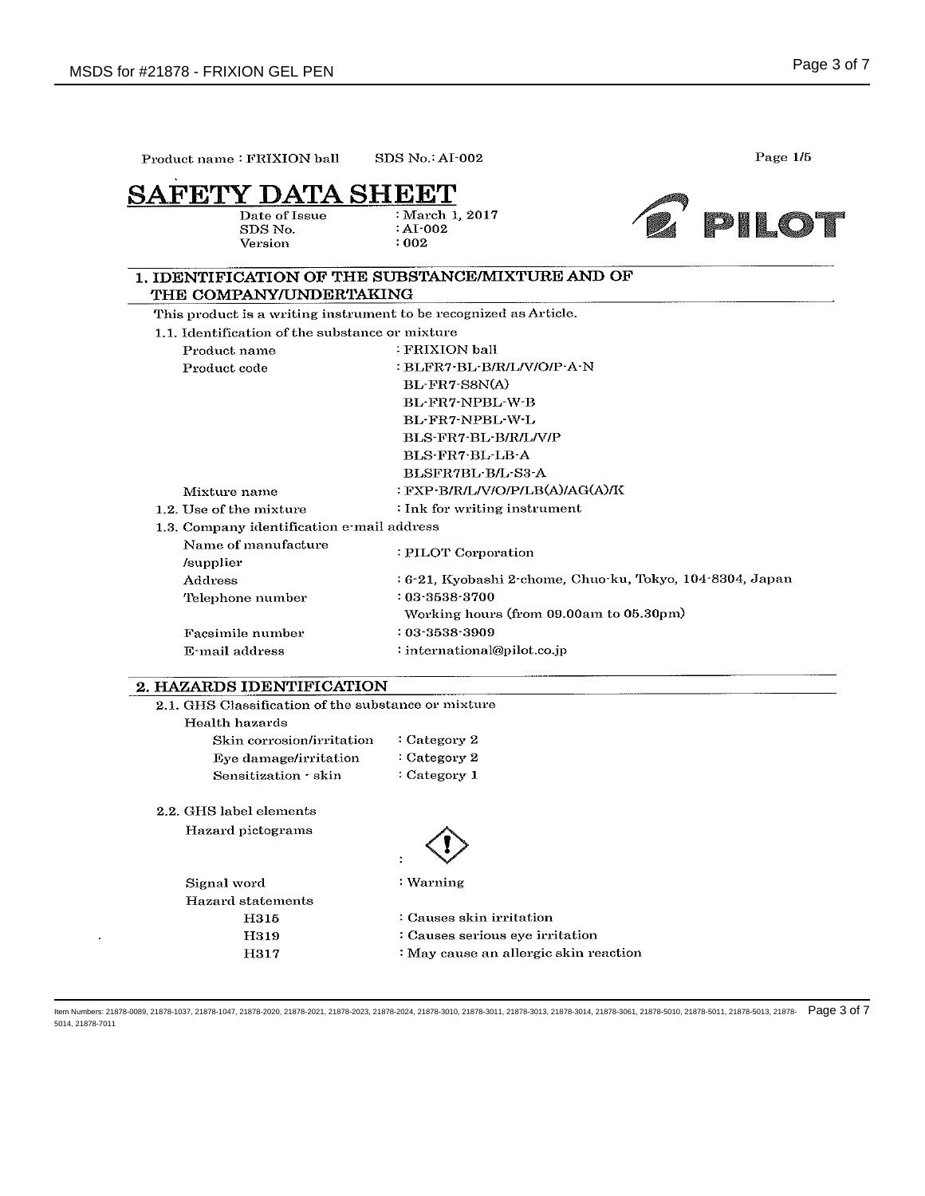$\hat{\boldsymbol{\beta}}$ 

| FETY DATA SHEET<br>Date of Issue<br>SDS No.                       | : March 1, 2017<br>$:\mathbf{AI}\cdot 002$                | PILOT |
|-------------------------------------------------------------------|-----------------------------------------------------------|-------|
| Version                                                           | : 002                                                     |       |
|                                                                   | 1. IDENTIFICATION OF THE SUBSTANCE/MIXTURE AND OF         |       |
| THE COMPANY/UNDERTAKING                                           |                                                           |       |
| This product is a writing instrument to be recognized as Article. |                                                           |       |
| 1.1. Identification of the substance or mixture                   |                                                           |       |
| Product name                                                      | : FRIXION ball                                            |       |
| Product code                                                      | : BLFR7-BL-B/R/L/V/O/P-A-N                                |       |
|                                                                   | BL-FR7-S8N(A)                                             |       |
|                                                                   | BL-FR7-NPBL-W-B                                           |       |
|                                                                   | BL-FR7-NPBL-W-L                                           |       |
|                                                                   | BLS-FR7-BL-B/R/L/V/P                                      |       |
|                                                                   | BLS-FR7-BL-LB-A                                           |       |
|                                                                   | BLSFR7BL-B/L-S3-A                                         |       |
| Mixture name                                                      | : FXP-B/R/L/V/O/P/LB(A)/AG(A)/K                           |       |
| 1.2. Use of the mixture                                           | : Ink for writing instrument                              |       |
| 1.3. Company identification e-mail address                        |                                                           |       |
| Name of manufacture                                               | : PILOT Corporation                                       |       |
| /supplier                                                         |                                                           |       |
| Address                                                           | : 6-21, Kyobashi 2-chome, Chuo-ku, Tokyo, 104-8304, Japan |       |
| Telephone number                                                  | $: 03 - 3538 - 3700$                                      |       |
|                                                                   | Working hours (from 09.00am to 05.30pm)                   |       |
| Facsimile number                                                  | $: 03 - 3538 - 3909$                                      |       |
| E-mail address                                                    | : international@pilot.co.jp                               |       |
| 2. HAZARDS IDENTIFICATION                                         |                                                           |       |
| 2.1. GHS Classification of the substance or mixture               |                                                           |       |
| Health hazards                                                    |                                                           |       |
| Skin corrosion/irritation                                         | : Category 2                                              |       |
| Eye damage/irritation                                             | : Category 2                                              |       |
| Sensitization · skin                                              | : Category 1                                              |       |
| 2.2. GHS label elements                                           |                                                           |       |
| Hazard pictograms                                                 |                                                           |       |
|                                                                   |                                                           |       |
| Signal word                                                       | : Warning                                                 |       |
| <b>Hazard statements</b>                                          |                                                           |       |
| H315                                                              | : Causes skin irritation                                  |       |
| H319                                                              | : Causes serious eye irritation                           |       |
| H317                                                              | : May cause an allergic skin reaction                     |       |

ltem Numbers: 21878-0089, 21878-1037, 21878-1047, 21878-2020, 21878-2021, 21878-2023, 21878-3010, 21878-3011, 21878-3013, 21878-5018, 21878-5010, 21878-5011, 21878-5013, 21878-5010, 21878-5011, 21878-5011, 21878-5011, 2187 5014, 21878-7011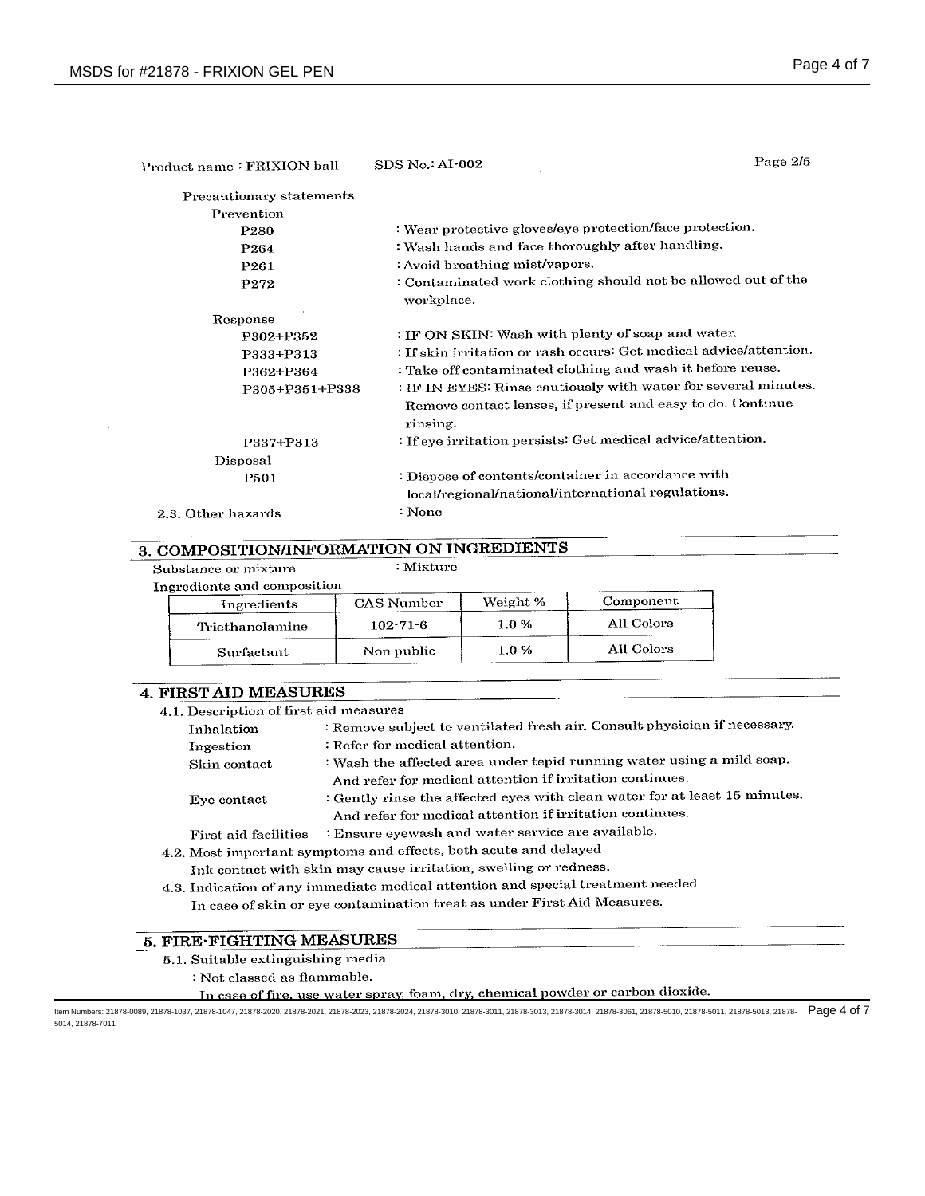| Product name: FRIXION ball | <b>SDS No.: AI-002</b>                                                                                                                   | Page 2/5 |
|----------------------------|------------------------------------------------------------------------------------------------------------------------------------------|----------|
| Precautionary statements   |                                                                                                                                          |          |
| Prevention                 |                                                                                                                                          |          |
| P <sub>280</sub>           | : Wear protective gloves/eye protection/face protection.                                                                                 |          |
| P <sub>264</sub>           | : Wash hands and face thoroughly after handling.                                                                                         |          |
| P <sub>261</sub>           | : Avoid breathing mist/vapors.                                                                                                           |          |
| P272                       | : Contaminated work clothing should not be allowed out of the<br>workplace.                                                              |          |
| Response                   |                                                                                                                                          |          |
| P302+P352                  | : IF ON SKIN: Wash with plenty of soap and water.                                                                                        |          |
| P333+P313                  | : If skin irritation or rash occurs: Get medical advice/attention.                                                                       |          |
| P362+P364                  | : Take off contaminated clothing and wash it before reuse.                                                                               |          |
| P305+P351+P338             | : IF IN EYES: Rinse cautiously with water for several minutes.<br>Remove contact lenses, if present and easy to do. Continue<br>rinsing. |          |
| P337+P313                  | : If eye irritation persists: Get medical advice/attention.                                                                              |          |
| Disposal                   |                                                                                                                                          |          |
| P501                       | : Dispose of contents/container in accordance with<br>local/regional/national/international regulations.                                 |          |
| 2.3. Other hazards         | : None                                                                                                                                   |          |

### 3. COMPOSITION/INFORMATION ON INGREDIENTS

Substance or mixture

| Ingredients and composition |                   |          |            |
|-----------------------------|-------------------|----------|------------|
| Ingredients                 | <b>CAS Number</b> | Weight % | Component  |
| Triethanolamine             | $102 - 71 - 6$    | 1.0%     | All Colors |
| Surfactant                  | Non public        | 1.0%     | All Colors |

 $:Mixture$ 

### **4. FIRST AID MEASURES**

| 4.1. Description of first aid measures                                          |                                                                            |  |  |  |  |
|---------------------------------------------------------------------------------|----------------------------------------------------------------------------|--|--|--|--|
| Inhalation                                                                      | : Remove subject to ventilated fresh air. Consult physician if necessary.  |  |  |  |  |
| Ingestion                                                                       | : Refer for medical attention.                                             |  |  |  |  |
| Skin contact                                                                    | : Wash the affected area under tepid running water using a mild soap.      |  |  |  |  |
|                                                                                 | And refer for medical attention if irritation continues.                   |  |  |  |  |
| Eve contact                                                                     | : Gently rinse the affected eyes with clean water for at least 15 minutes. |  |  |  |  |
|                                                                                 | And refer for medical attention if irritation continues.                   |  |  |  |  |
| First aid facilities                                                            | : Ensure eyewash and water service are available.                          |  |  |  |  |
|                                                                                 | 4.2. Most important symptoms and effects, both acute and delayed           |  |  |  |  |
| Ink contact with skin may cause irritation, swelling or redness.                |                                                                            |  |  |  |  |
| 4.3. Indication of any immediate medical attention and special treatment needed |                                                                            |  |  |  |  |
| In case of skin or eye contamination treat as under First Aid Measures.         |                                                                            |  |  |  |  |

## **5. FIRE-FIGHTING MEASURES**

- 5.1. Suitable extinguishing media
	- : Not classed as flammable.
		- In case of fire, use water spray, foam, dry, chemical powder or carbon dioxide.

ltem Numbers: 21878-0089, 21878-1037, 21878-1047, 21878-2020, 21878-2021, 21878-2023, 21878-3010, 21878-3011, 21878-3013, 21878-5018, 21878-5010, 21878-5011, 21878-5013, 21878-5010, 21878-5011, 21878-5011, 21878-5011, 2187 5014, 21878-7011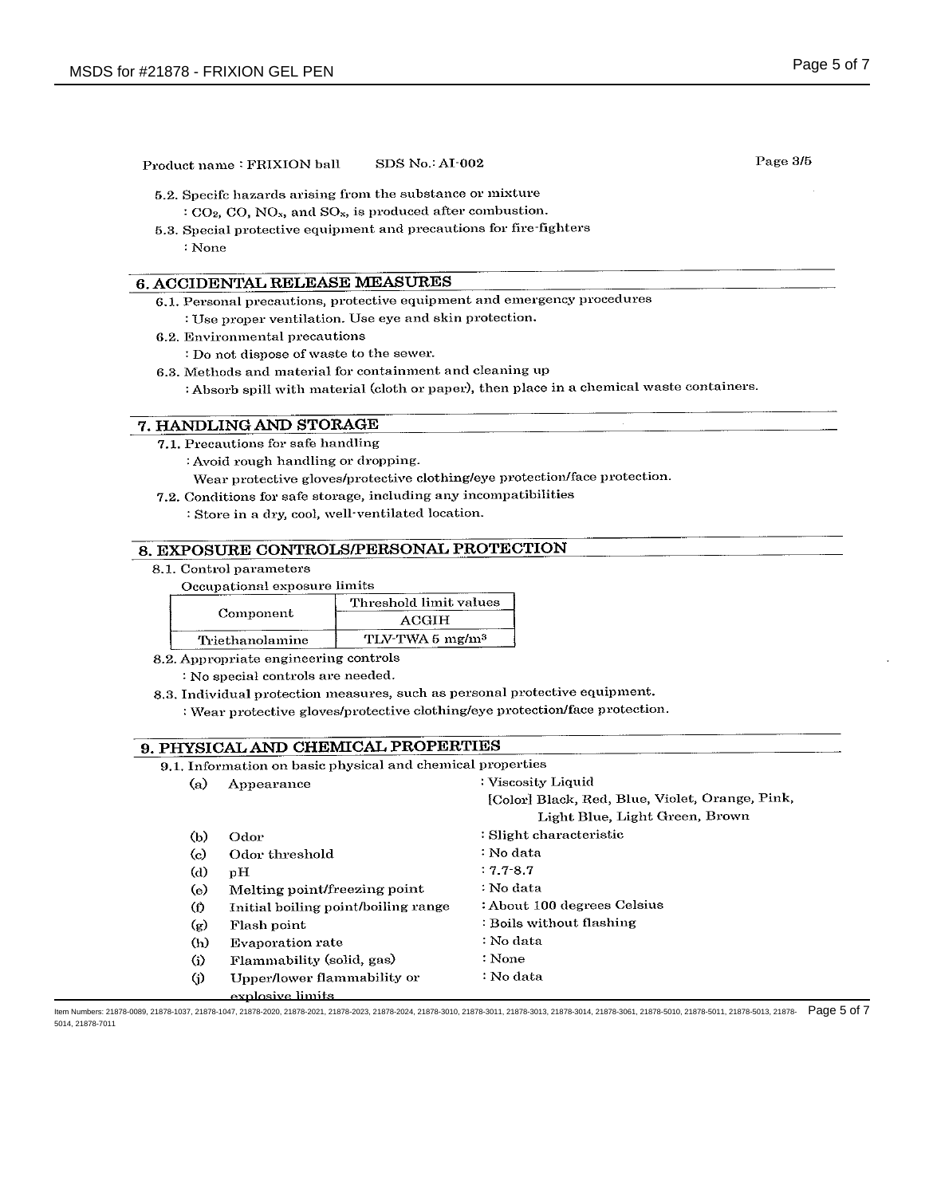|          | Product name: FRIXION ball                                                        | SDS No.: AI-002             |                                                                                           | Page 3/5 |
|----------|-----------------------------------------------------------------------------------|-----------------------------|-------------------------------------------------------------------------------------------|----------|
|          | 5.2. Specifc hazards arising from the substance or mixture                        |                             |                                                                                           |          |
|          | $C_2$ , CO, NO <sub>x</sub> , and SO <sub>x</sub> , is produced after combustion. |                             |                                                                                           |          |
|          | 5.3. Special protective equipment and precautions for fire-fighters               |                             |                                                                                           |          |
| : None   |                                                                                   |                             |                                                                                           |          |
|          |                                                                                   |                             |                                                                                           |          |
|          | 6. ACCIDENTAL RELEASE MEASURES                                                    |                             |                                                                                           |          |
|          |                                                                                   |                             | 6.1. Personal precautions, protective equipment and emergency procedures                  |          |
|          | : Use proper ventilation. Use eye and skin protection.                            |                             |                                                                                           |          |
|          | 6.2. Environmental precautions                                                    |                             |                                                                                           |          |
|          | : Do not dispose of waste to the sewer.                                           |                             |                                                                                           |          |
|          | 6.3. Methods and material for containment and cleaning up                         |                             |                                                                                           |          |
|          |                                                                                   |                             | : Absorb spill with material (cloth or paper), then place in a chemical waste containers. |          |
|          | 7. HANDLING AND STORAGE                                                           |                             |                                                                                           |          |
|          | 7.1. Precautions for safe handling                                                |                             |                                                                                           |          |
|          | : Avoid rough handling or dropping.                                               |                             |                                                                                           |          |
|          |                                                                                   |                             | Wear protective gloves/protective clothing/eye protection/face protection.                |          |
|          | 7.2. Conditions for safe storage, including any incompatibilities                 |                             |                                                                                           |          |
|          | : Store in a dry, cool, well ventilated location.                                 |                             |                                                                                           |          |
|          |                                                                                   |                             |                                                                                           |          |
|          | 8. EXPOSURE CONTROLS/PERSONAL PROTECTION                                          |                             |                                                                                           |          |
|          | 8.1. Control parameters                                                           |                             |                                                                                           |          |
|          | Occupational exposure limits                                                      |                             |                                                                                           |          |
|          | Component                                                                         | Threshold limit values      |                                                                                           |          |
|          |                                                                                   | <b>ACGIH</b>                |                                                                                           |          |
|          | Triethanolamine                                                                   | TLV-TWA 5 mg/m <sup>3</sup> |                                                                                           |          |
|          | 8.2. Appropriate engineering controls                                             |                             |                                                                                           |          |
|          | : No special controls are needed.                                                 |                             |                                                                                           |          |
|          |                                                                                   |                             | 8.3. Individual protection measures, such as personal protective equipment.               |          |
|          |                                                                                   |                             | : Wear protective gloves/protective clothing/eye protection/face protection.              |          |
|          | 9. PHYSICAL AND CHEMICAL PROPERTIES                                               |                             |                                                                                           |          |
|          | 9.1. Information on basic physical and chemical properties                        |                             |                                                                                           |          |
| (a)      | Appearance                                                                        |                             | : Viscosity Liquid                                                                        |          |
|          |                                                                                   |                             | [Color] Black, Red, Blue, Violet, Orange, Pink,                                           |          |
|          |                                                                                   |                             | Light Blue, Light Green, Brown                                                            |          |
| (b)      | Odor                                                                              |                             | : Slight characteristic                                                                   |          |
| $\rm(c)$ | Odor threshold                                                                    |                             | : No data                                                                                 |          |
| (d)      | pH                                                                                |                             | $: 7.7 - 8.7$                                                                             |          |
| (e)      | Melting point/freezing point                                                      |                             | : No data                                                                                 |          |
| $\circ$  | Initial boiling point/boiling range                                               |                             | : About 100 degrees Celsius                                                               |          |
| (g)      | Flash point                                                                       |                             | : Boils without flashing                                                                  |          |
| (h)      | <b>Evaporation rate</b>                                                           |                             | : No data                                                                                 |          |
| (i)      | Flammability (solid, gas)                                                         |                             | : None                                                                                    |          |
| (i)      | Upper/lower flammability or                                                       |                             | : No data                                                                                 |          |
|          |                                                                                   |                             |                                                                                           |          |

ltem Numbers: 21878-0089, 21878-1037, 21878-1047, 21878-2020, 21878-2021, 21878-2023, 21878-3010, 21878-3011, 21878-3013, 21878-5018, 21878-5010, 21878-5011, 21878-5013, 21878-5010, 21878-5011, 21878-5011, 21878-5011, 2187 5014, 21878-7011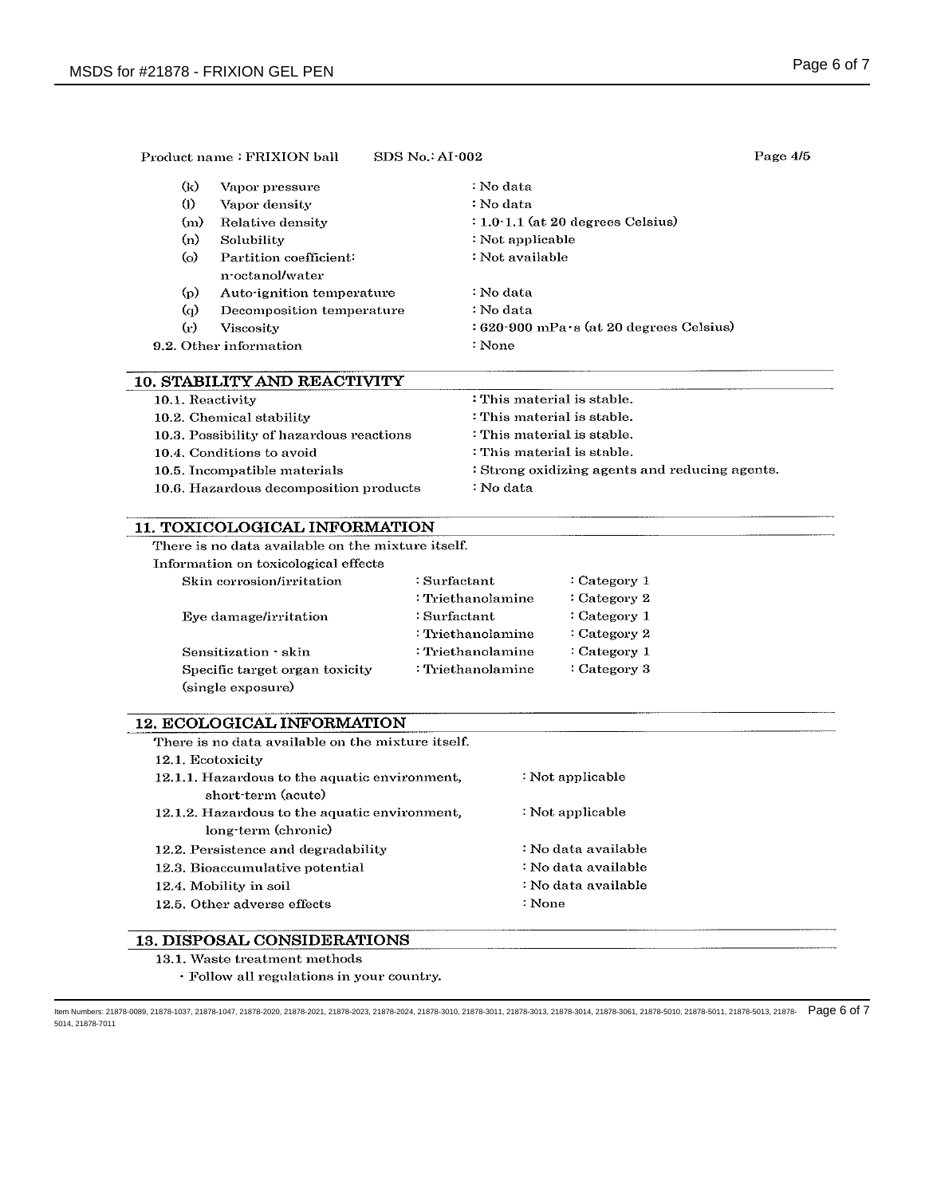|                             | Product name: FRIXION ball                | $SDS$ No.: AI $\cdot$ 002                 | Page 4/5 |
|-----------------------------|-------------------------------------------|-------------------------------------------|----------|
| $(\mathbf{k})$              | Vapor pressure                            | : No data                                 |          |
| $\Omega$                    | Vapor density                             | : No data                                 |          |
| (m)                         | Relative density                          | $: 1.0 \cdot 1.1$ (at 20 degrees Celsius) |          |
| (n)                         | Solubility                                | : Not applicable                          |          |
| (o)                         | Partition coefficient:<br>n octanol/water | : Not available                           |          |
| $\rm (p)$                   | Auto-ignition temperature                 | : No data                                 |          |
| $\omega$                    | Decomposition temperature                 | : No data                                 |          |
| $\left( \mathbf{r} \right)$ | Viscosity                                 | : 620-900 mPa·s (at 20 degrees Celsius)   |          |
|                             | 9.2. Other information                    | : None                                    |          |

|        | <b>10. STABILITY AND REACTIVITY</b> |  |
|--------|-------------------------------------|--|
| $\sim$ |                                     |  |

| 10.1. Reactivity                         | : This material is stable.                     |
|------------------------------------------|------------------------------------------------|
| 10.2. Chemical stability                 | : This material is stable.                     |
| 10.3. Possibility of hazardous reactions | : This material is stable.                     |
| 10.4. Conditions to avoid                | : This material is stable.                     |
| 10.5. Incompatible materials             | : Strong oxidizing agents and reducing agents. |
| 10.6. Hazardous decomposition products   | : No data                                      |

### 11. TOXICOLOGICAL INFORMATION

|  | There is no data available on the mixture itself. |  |  |
|--|---------------------------------------------------|--|--|
|  |                                                   |  |  |

Information on toxicological effects

| Skin corrosion/irritation      | :Surfactant         | $:$ Category 1 |
|--------------------------------|---------------------|----------------|
|                                | : Triethanolamine   | : Category $2$ |
| Eye damage/irritation          | :Surfactant         | $:$ Category 1 |
|                                | : Triethanolamine   | : Category $2$ |
| Sensitization skin             | : Triethanolamine   | Category 1     |
| Specific target organ toxicity | $:$ Triethanolamine | Category 3     |
| (single exposure)              |                     |                |

### 12. ECOLOGICAL INFORMATION

| There is no data available on the mixture itself.                    |                     |
|----------------------------------------------------------------------|---------------------|
| 12.1. Ecotoxicity                                                    |                     |
| 12.1.1. Hazardous to the aquatic environment,<br>short-term (acute)  | : Not applicable    |
| 12.1.2. Hazardous to the aquatic environment,<br>long-term (chronic) | : Not applicable    |
| 12.2. Persistence and degradability                                  | : No data available |
| 12.3. Bioaccumulative potential                                      | : No data available |
| 12.4. Mobility in soil                                               | : No data available |
| 12.5. Other adverse effects                                          | : None              |
| <b>13. DISPOSAL CONSIDERATIONS</b>                                   |                     |
|                                                                      |                     |

- 13.1. Waste treatment methods
	- · Follow all regulations in your country.

ltem Numbers: 21878-0089, 21878-1037, 21878-1047, 21878-2020, 21878-2021, 21878-2023, 21878-3010, 21878-3011, 21878-3013, 21878-5018, 21878-5010, 21878-5011, 21878-5013, 21878-5010, 21878-5011, 21878-5011, 21878-5011, 2187 5014, 21878-7011